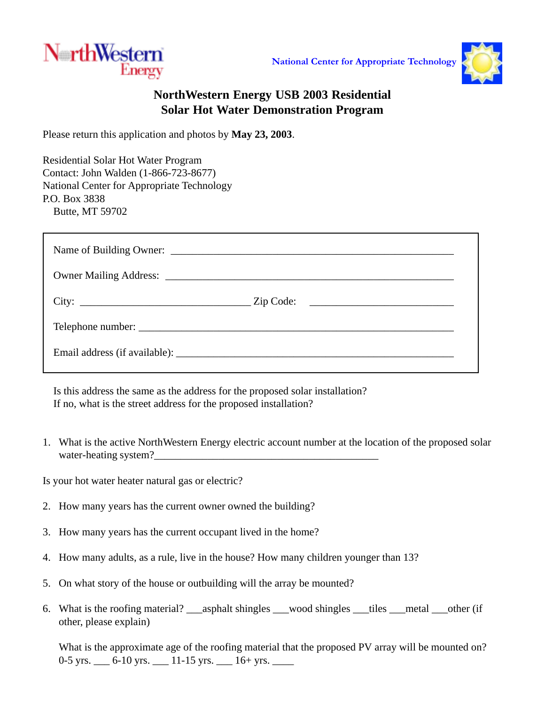



## **NorthWestern Energy USB 2003 Residential Solar Hot Water Demonstration Program**

Please return this application and photos by **May 23, 2003**.

Residential Solar Hot Water Program Contact: John Walden (1-866-723-8677) National Center for Appropriate Technology P.O. Box 3838 Butte, MT 59702

Is this address the same as the address for the proposed solar installation? If no, what is the street address for the proposed installation?

1. What is the active NorthWestern Energy electric account number at the location of the proposed solar water-heating system?

Is your hot water heater natural gas or electric?

- 2. How many years has the current owner owned the building?
- 3. How many years has the current occupant lived in the home?
- 4. How many adults, as a rule, live in the house? How many children younger than 13?
- 5. On what story of the house or outbuilding will the array be mounted?
- 6. What is the roofing material? \_\_\_asphalt shingles \_\_\_wood shingles \_\_\_tiles \_\_\_metal \_\_\_other (if other, please explain)

What is the approximate age of the roofing material that the proposed PV array will be mounted on? 0-5 yrs. \_\_\_ 6-10 yrs. \_\_\_ 11-15 yrs. \_\_\_ 16+ yrs. \_\_\_\_